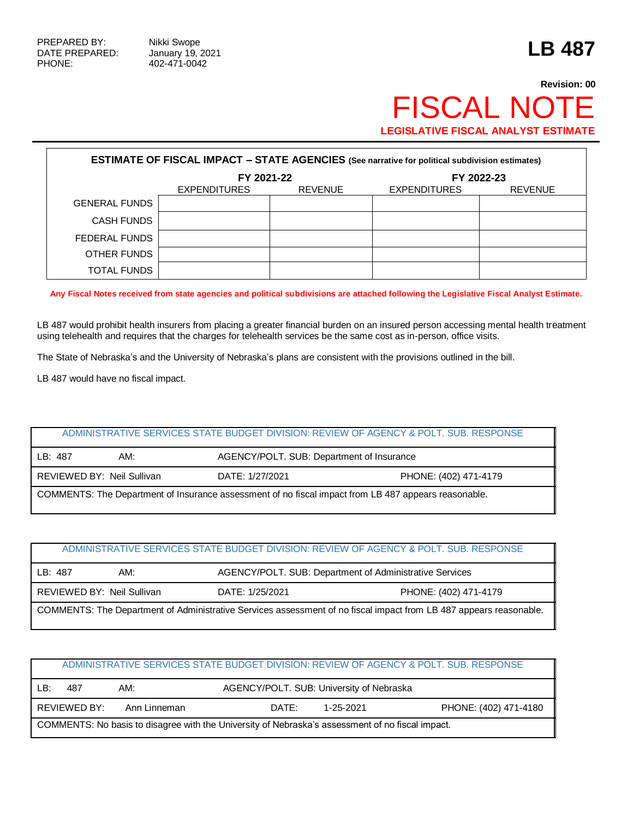## **Revision: 00** FISCAL NOTE **LEGISLATIVE FISCAL ANALYST ESTIMATE**

| <b>ESTIMATE OF FISCAL IMPACT - STATE AGENCIES (See narrative for political subdivision estimates)</b> |                                       |  |                     |                |  |  |
|-------------------------------------------------------------------------------------------------------|---------------------------------------|--|---------------------|----------------|--|--|
|                                                                                                       | FY 2021-22                            |  | FY 2022-23          |                |  |  |
|                                                                                                       | <b>EXPENDITURES</b><br><b>REVENUE</b> |  | <b>EXPENDITURES</b> | <b>REVENUE</b> |  |  |
| <b>GENERAL FUNDS</b>                                                                                  |                                       |  |                     |                |  |  |
| <b>CASH FUNDS</b>                                                                                     |                                       |  |                     |                |  |  |
| FEDERAL FUNDS                                                                                         |                                       |  |                     |                |  |  |
| OTHER FUNDS                                                                                           |                                       |  |                     |                |  |  |
| <b>TOTAL FUNDS</b>                                                                                    |                                       |  |                     |                |  |  |

**Any Fiscal Notes received from state agencies and political subdivisions are attached following the Legislative Fiscal Analyst Estimate.**

LB 487 would prohibit health insurers from placing a greater financial burden on an insured person accessing mental health treatment using telehealth and requires that the charges for telehealth services be the same cost as in-person, office visits.

The State of Nebraska's and the University of Nebraska's plans are consistent with the provisions outlined in the bill.

LB 487 would have no fiscal impact.

## ADMINISTRATIVE SERVICES STATE BUDGET DIVISION: REVIEW OF AGENCY & POLT. SUB. RESPONSE

| LB: 487                                                                                              | AM: | AGENCY/POLT. SUB: Department of Insurance |                       |  |  |
|------------------------------------------------------------------------------------------------------|-----|-------------------------------------------|-----------------------|--|--|
| REVIEWED BY: Neil Sullivan                                                                           |     | DATE: 1/27/2021                           | PHONE: (402) 471-4179 |  |  |
| COMMENTS: The Department of Insurance assessment of no fiscal impact from LB 487 appears reasonable. |     |                                           |                       |  |  |

| ADMINISTRATIVE SERVICES STATE BUDGET DIVISION: REVIEW OF AGENCY & POLT, SUB, RESPONSE                              |     |  |                                                         |  |  |
|--------------------------------------------------------------------------------------------------------------------|-----|--|---------------------------------------------------------|--|--|
| LB: 487                                                                                                            | AM: |  | AGENCY/POLT. SUB: Department of Administrative Services |  |  |
| REVIEWED BY: Neil Sullivan<br>DATE: 1/25/2021<br>PHONE: (402) 471-4179                                             |     |  |                                                         |  |  |
| COMMENTS: The Department of Administrative Services assessment of no fiscal impact from LB 487 appears reasonable. |     |  |                                                         |  |  |

| ADMINISTRATIVE SERVICES STATE BUDGET DIVISION: REVIEW OF AGENCY & POLT. SUB. RESPONSE            |                                                                             |  |  |  |  |  |  |
|--------------------------------------------------------------------------------------------------|-----------------------------------------------------------------------------|--|--|--|--|--|--|
| AGENCY/POLT. SUB: University of Nebraska<br>LB:<br>AM:<br>487                                    |                                                                             |  |  |  |  |  |  |
|                                                                                                  | PHONE: (402) 471-4180<br>REVIEWED BY:<br>Ann Linneman<br>DATE:<br>1-25-2021 |  |  |  |  |  |  |
| COMMENTS: No basis to disagree with the University of Nebraska's assessment of no fiscal impact. |                                                                             |  |  |  |  |  |  |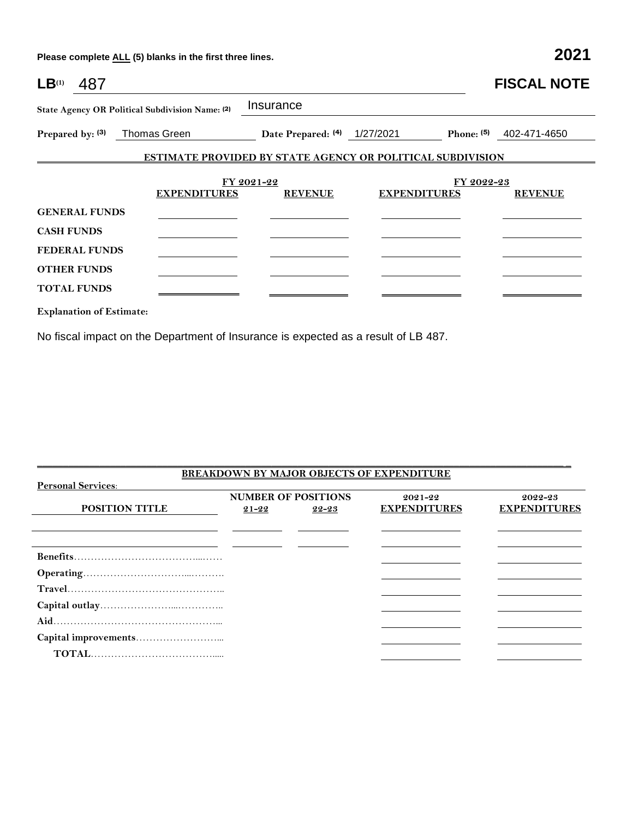**Please complete ALL (5) blanks in the first three lines. 2021**

| $LB^{(1)}$<br>487               |                                                 |                              |                                                                   | <b>FISCAL NOTE</b> |
|---------------------------------|-------------------------------------------------|------------------------------|-------------------------------------------------------------------|--------------------|
|                                 | State Agency OR Political Subdivision Name: (2) | Insurance                    |                                                                   |                    |
| Prepared by: (3)                | Thomas Green                                    | Date Prepared: (4) 1/27/2021 | Phone: $(5)$                                                      | 402-471-4650       |
|                                 |                                                 |                              | <b>ESTIMATE PROVIDED BY STATE AGENCY OR POLITICAL SUBDIVISION</b> |                    |
|                                 |                                                 |                              |                                                                   |                    |
|                                 | <b>EXPENDITURES</b>                             | FY 2021-22<br><b>REVENUE</b> | FY 2022-23<br><b>EXPENDITURES</b>                                 | <b>REVENUE</b>     |
| <b>GENERAL FUNDS</b>            |                                                 |                              |                                                                   |                    |
| <b>CASH FUNDS</b>               |                                                 |                              |                                                                   |                    |
| <b>FEDERAL FUNDS</b>            |                                                 |                              |                                                                   |                    |
| <b>OTHER FUNDS</b>              |                                                 |                              |                                                                   |                    |
| <b>TOTAL FUNDS</b>              |                                                 |                              |                                                                   |                    |
| <b>Explanation of Estimate:</b> |                                                 |                              |                                                                   |                    |

No fiscal impact on the Department of Insurance is expected as a result of LB 487.

| <b>BREAKDOWN BY MAJOR OBJECTS OF EXPENDITURE</b> |           |                            |                     |                     |  |
|--------------------------------------------------|-----------|----------------------------|---------------------|---------------------|--|
| <b>Personal Services:</b>                        |           |                            |                     |                     |  |
|                                                  |           | <b>NUMBER OF POSITIONS</b> | $2021 - 22$         | 2022-23             |  |
| <b>POSITION TITLE</b>                            | $21 - 22$ | 22-23                      | <b>EXPENDITURES</b> | <b>EXPENDITURES</b> |  |
|                                                  |           |                            |                     |                     |  |
|                                                  |           |                            |                     |                     |  |
|                                                  |           |                            |                     |                     |  |
|                                                  |           |                            |                     |                     |  |
|                                                  |           |                            |                     |                     |  |
|                                                  |           |                            |                     |                     |  |
|                                                  |           |                            |                     |                     |  |
|                                                  |           |                            |                     |                     |  |
|                                                  |           |                            |                     |                     |  |
| $\mathbf{TOTAL}$                                 |           |                            |                     |                     |  |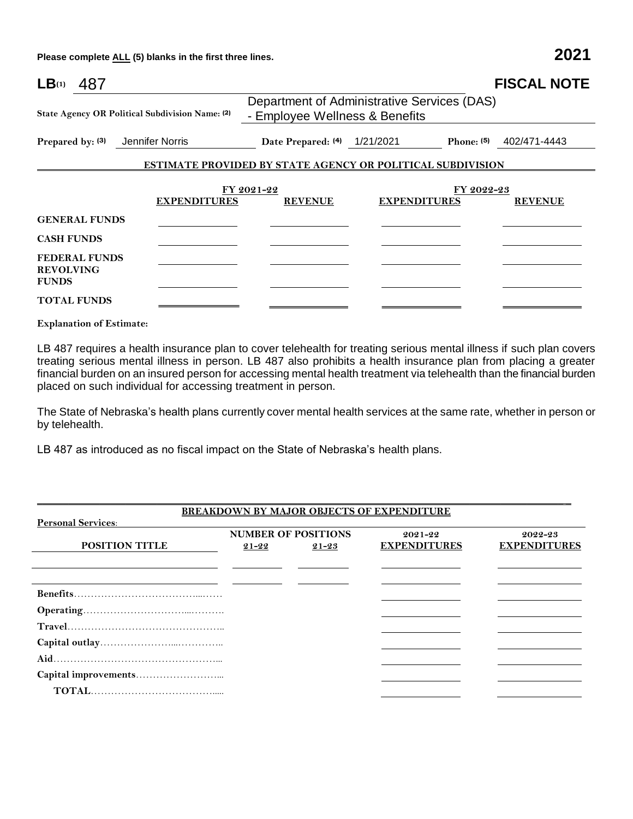**Please complete ALL (5) blanks in the first three lines. 2021**

| $LB$ <sup>(1)</sup><br>487                               |                                                                               |                                                            | <b>FISCAL NOTE</b>        |  |  |
|----------------------------------------------------------|-------------------------------------------------------------------------------|------------------------------------------------------------|---------------------------|--|--|
| State Agency OR Political Subdivision Name: (2)          | Department of Administrative Services (DAS)<br>- Employee Wellness & Benefits |                                                            |                           |  |  |
| Prepared by: (3)<br>Jennifer Norris                      | Date Prepared: (4) 1/21/2021                                                  |                                                            | Phone: $(5)$ 402/471-4443 |  |  |
|                                                          |                                                                               | ESTIMATE PROVIDED BY STATE AGENCY OR POLITICAL SUBDIVISION |                           |  |  |
|                                                          |                                                                               |                                                            |                           |  |  |
| <b>EXPENDITURES</b>                                      | FY 2021-22<br><b>REVENUE</b>                                                  | FY 2022-23<br><b>EXPENDITURES</b>                          | <b>REVENUE</b>            |  |  |
| <b>GENERAL FUNDS</b>                                     |                                                                               |                                                            |                           |  |  |
| <b>CASH FUNDS</b>                                        |                                                                               |                                                            |                           |  |  |
| <b>FEDERAL FUNDS</b><br><b>REVOLVING</b><br><b>FUNDS</b> |                                                                               |                                                            |                           |  |  |
| <b>TOTAL FUNDS</b>                                       |                                                                               |                                                            |                           |  |  |

**Explanation of Estimate:**

LB 487 requires a health insurance plan to cover telehealth for treating serious mental illness if such plan covers treating serious mental illness in person. LB 487 also prohibits a health insurance plan from placing a greater financial burden on an insured person for accessing mental health treatment via telehealth than the financial burden placed on such individual for accessing treatment in person.

The State of Nebraska's health plans currently cover mental health services at the same rate, whether in person or by telehealth.

LB 487 as introduced as no fiscal impact on the State of Nebraska's health plans.

|                           |           |                            | BREAKDOWN BY MAJOR OBJECTS OF EXPENDITURE |                     |
|---------------------------|-----------|----------------------------|-------------------------------------------|---------------------|
| <b>Personal Services:</b> |           |                            |                                           |                     |
|                           |           | <b>NUMBER OF POSITIONS</b> | $2021 - 22$                               | 2022-23             |
| <b>POSITION TITLE</b>     | $21 - 22$ | $21 - 23$                  | <b>EXPENDITURES</b>                       | <b>EXPENDITURES</b> |
|                           |           |                            |                                           |                     |
|                           |           |                            |                                           |                     |
|                           |           |                            |                                           |                     |
|                           |           |                            |                                           |                     |
|                           |           |                            |                                           |                     |
|                           |           |                            |                                           |                     |
|                           |           |                            |                                           |                     |
|                           |           |                            |                                           |                     |
|                           |           |                            |                                           |                     |